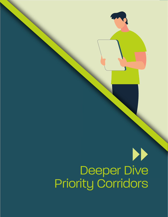## $\blacktriangleright$ Deeper Dive Priority Corridors

Deeper Dive Priority Corridors

and Triangle FAST Implementation Playbook

FAST Network Concept for North Carolina's Research Triangle Region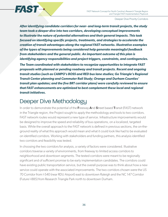

*After identifying candidate corridors for near- and long-term transit projects, the study team took a deeper dive into two corridors, developing conceptual improvements to illustrate the nature of potential alternatives and their general impacts. This task focused on identifying specific projects, treatments, and strategies to accelerate the creation of transit advantages along the regional FAST networks. Illustrative examples of the types of improvements being considered help generate meaningful feedback from stakeholders and the general public. An important outcome of this plan is identifying agency responsibilities and project triggers, constraints, and contingencies.* 

*The Team coordinated with stakeholders to recognize opportunities to integrate FAST proposals with planned or pending roadway and transit projects. Recent and ongoing transit studies (such as CAMPO's BOSS and RED bus lane studies; Go Triangle's Regional Transit Center planning and Commuter Rail Study; Orange and Durham Counties' transit plan updates; and the five BRT corridor plans) were carefully reviewed to ensure that FAST enhancements are optimized to best complement these local and regional transit initiatives.*

## Deeper Dive Methodology

FAST-

In order to demonstrate the potential of the **F**reeway **A**nd **S**treet based **T**ransit (FAST) network in the Triangle region, the Project sought to apply the methodology and tools to two corridors. FAST network routes would represent a new type of service. Infrastructure improvements would be designed to improve the speed and reliability of bus operations, on a localized, targeted basis. While the overall approach to the FAST network is defined in previous sections, the on-theground reality of what this approach would mean and what it could look like had to be evaluated on identified corridors. Working with stakeholders and funding partners, this analysis identified two corridors and feasibility was tested.

In choosing the two corridors for analysis, a variety of factors were considered. Illustrative corridors traverse a variety of environments, from freeway to limited access corridors to neighborhood and downtown segments. The tested corridors were meant to be regionally significant and of sufficient promise to be early implementation candidates. The corridors could have existing public transportation service, but the overall purpose was to think about how a new service could operate with the associated improvements. The two corridors chosen were the US 70 Corridor from I-540 (near RDU Airport) east to downtown Raleigh and the NC 147 Corridor (Future I-885) from Research Triangle Park north to downtown Durham.